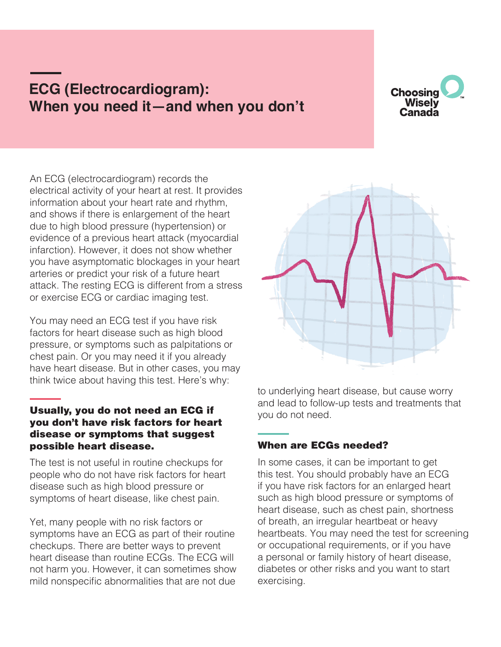# **ECG (Electrocardiogram): When you need it—and when you don't**



An ECG (electrocardiogram) records the electrical activity of your heart at rest. It provides information about your heart rate and rhythm, and shows if there is enlargement of the heart due to high blood pressure (hypertension) or evidence of a previous heart attack (myocardial infarction). However, it does not show whether you have asymptomatic blockages in your heart arteries or predict your risk of a future heart attack. The resting ECG is different from a stress or exercise ECG or cardiac imaging test.

You may need an ECG test if you have risk factors for heart disease such as high blood pressure, or symptoms such as palpitations or chest pain. Or you may need it if you already have heart disease. But in other cases, you may think twice about having this test. Here's why:

## Usually, you do not need an ECG if you don't have risk factors for heart disease or symptoms that suggest possible heart disease.

The test is not useful in routine checkups for people who do not have risk factors for heart disease such as high blood pressure or symptoms of heart disease, like chest pain.

Yet, many people with no risk factors or symptoms have an ECG as part of their routine checkups. There are better ways to prevent heart disease than routine ECGs. The ECG will not harm you. However, it can sometimes show mild nonspecific abnormalities that are not due



to underlying heart disease, but cause worry and lead to follow-up tests and treatments that you do not need.

# When are ECGs needed?

In some cases, it can be important to get this test. You should probably have an ECG if you have risk factors for an enlarged heart such as high blood pressure or symptoms of heart disease, such as chest pain, shortness of breath, an irregular heartbeat or heavy heartbeats. You may need the test for screening or occupational requirements, or if you have a personal or family history of heart disease, diabetes or other risks and you want to start exercising.